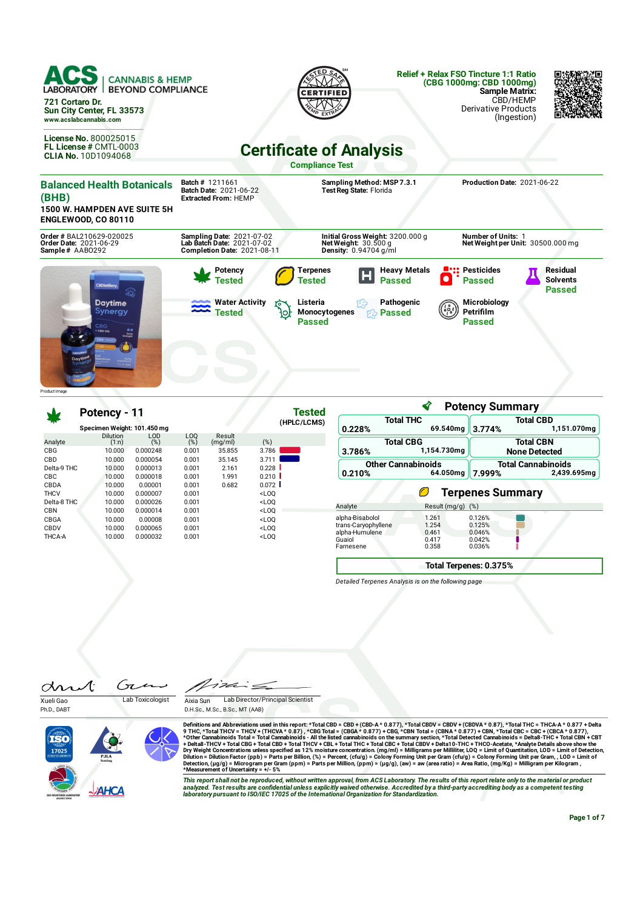| ACS<br><b>CANNABIS &amp; HEMP</b><br><b>LABORATORY</b><br><b>BEYOND COMPLIANCE</b><br>721 Cortaro Dr.<br>Sun City Center, FL 33573<br>www.acslabcannabis.com |                                                                                                      |                                                                                     | <b>Relief + Relax FSO Tincture 1:1 Ratio</b><br>(CBG 1000mg: CBD 1000mg)<br><b>Sample Matrix:</b><br>CBD/HEMP<br><b>Derivative Products</b><br>(Ingestion) |                                                     |
|--------------------------------------------------------------------------------------------------------------------------------------------------------------|------------------------------------------------------------------------------------------------------|-------------------------------------------------------------------------------------|------------------------------------------------------------------------------------------------------------------------------------------------------------|-----------------------------------------------------|
| <b>License No. 800025015</b><br>FL License # CMTL-0003<br><b>CLIA No. 10D1094068</b>                                                                         |                                                                                                      | <b>Certificate of Analysis</b>                                                      |                                                                                                                                                            |                                                     |
|                                                                                                                                                              |                                                                                                      | <b>Compliance Test</b>                                                              |                                                                                                                                                            |                                                     |
| <b>Balanced Health Botanicals</b><br>(BHB)<br><b>1500 W. HAMPDEN AVE SUITE 5H</b>                                                                            | <b>Batch # 1211661</b><br><b>Batch Date: 2021-06-22</b><br><b>Extracted From: HEMP</b>               | Sampling Method: MSP 7.3.1<br>Test Reg State: Florida                               | Production Date: 2021-06-22                                                                                                                                |                                                     |
| <b>ENGLEWOOD, CO 80110</b>                                                                                                                                   |                                                                                                      |                                                                                     |                                                                                                                                                            |                                                     |
| Order # BAL210629-020025<br>Order Date: 2021-06-29<br>Sample# AAB0292                                                                                        | <b>Sampling Date: 2021-07-02</b><br>Lab Batch Date: 2021-07-02<br><b>Completion Date: 2021-08-11</b> | Initial Gross Weight: 3200.000 g<br>Net Weight: $30.500$ g<br>Density: 0.94704 g/ml | Number of Units: 1<br>Net Weight per Unit: 30500.000 mg                                                                                                    |                                                     |
| <b>CBDistillery</b>                                                                                                                                          | Potency<br>Tested                                                                                    | <b>Heavy Metals</b><br>Terpenes<br>luu<br>Tested<br><b>Passed</b>                   | <b>::: Pesticides</b><br>$\bullet$<br><b>Passed</b>                                                                                                        | <b>Residual</b><br><b>Solvents</b><br><b>Passed</b> |
| <b>Daytime</b><br>Synergy                                                                                                                                    | <b>Water Activity</b><br>Tested                                                                      | Pathogenic<br>Listeria<br>Monocytogenes<br><b>Passed</b><br>5.S<br><b>Passed</b>    | Microbiology<br>Petrifilm<br><b>Passed</b>                                                                                                                 |                                                     |
|                                                                                                                                                              |                                                                                                      |                                                                                     |                                                                                                                                                            |                                                     |
| Product I mage                                                                                                                                               |                                                                                                      |                                                                                     |                                                                                                                                                            |                                                     |

|               | Potency - 11                |            |                        |                   | <b>Tested</b> |  |
|---------------|-----------------------------|------------|------------------------|-------------------|---------------|--|
|               | Specimen Weight: 101.450 mg |            |                        |                   | (HPLC/LCMS)   |  |
| Analyte       | <b>Dilution</b><br>(1:n)    | LOD<br>(%) | LO <sub>O</sub><br>(%) | Result<br>(mq/ml) | $(\%)$        |  |
| CBG           | 10.000                      | 0.000248   | 0.001                  | 35.855            | 3.786         |  |
| CBD           | 10.000                      | 0.000054   | 0.001                  | 35.145            | 3.711         |  |
| Delta-9 THC   | 10.000                      | 0.000013   | 0.001                  | 2.161             | 0.228         |  |
| <b>CBC</b>    | 10.000                      | 0.000018   | 0.001                  | 1.991             | 0.210         |  |
| CBDA          | 10.000                      | 0.00001    | 0.001                  | 0.682             | 0.072         |  |
| <b>THCV</b>   | 10.000                      | 0.000007   | 0.001                  |                   | $<$ LOO       |  |
| Delta-8 THC   | 10.000                      | 0.000026   | 0.001                  |                   | $<$ LOO       |  |
| CBN           | 10.000                      | 0.000014   | 0.001                  |                   | $<$ LOO       |  |
| CBGA          | 10.000                      | 0.00008    | 0.001                  |                   | $<$ LOO       |  |
| CBDV          | 10.000                      | 0.000065   | 0.001                  |                   | $<$ LOO       |  |
| <b>THCA-A</b> | 10.000                      | 0.000032   | 0.001                  |                   | $<$ LOO       |  |

|                                                          | ∢                       | <b>Potency Summary</b>     |                                          |  |  |
|----------------------------------------------------------|-------------------------|----------------------------|------------------------------------------|--|--|
| <b>Total THC</b>                                         |                         |                            | <b>Total CBD</b>                         |  |  |
| 0.228%                                                   | 69.540mg                | 3.774%                     | 1,151.070mg                              |  |  |
| <b>Total CBG</b><br>3.786%                               | 1,154.730mg             |                            | <b>Total CBN</b><br><b>None Detected</b> |  |  |
| <b>Other Cannabinoids</b><br>0.210%                      | 64.050mg                | 7.999%                     | <b>Total Cannabinoids</b><br>2,439.695mg |  |  |
|                                                          | Ø                       | <b>Terpenes Summary</b>    |                                          |  |  |
| Analyte                                                  | Result (mg/g)           | (%)                        |                                          |  |  |
| alpha-Bisabolol<br>trans-Caryophyllene<br>alpha-Humulene | 1.261<br>1.254<br>0.461 | 0.126%<br>0.125%<br>0.046% |                                          |  |  |

**Total Terpenes: 0.375%**

*Detailed Terpenes Analysis is on the following page*

Ćπ Ŀ an Xueli Gao Lab Toxicologist

126  $\zeta$ Aixia Sun Lab Director/Principal Scientist

D.H.Sc., M.Sc., B.Sc., MT (AAB)

Ph.D., DABT



Definitions and Abbreviations used in this report: \*Total CBD = CBD + (CBD-A \* 0.877), \*Total CBDV = CBDV + (CBDVA\* 0.87), \*Total THC = THCA-A \* 0.877) + Total THC = THCA-A \* 0.877 + Delta<br>9 THC, \*Total THC = THCA-A \* 0.8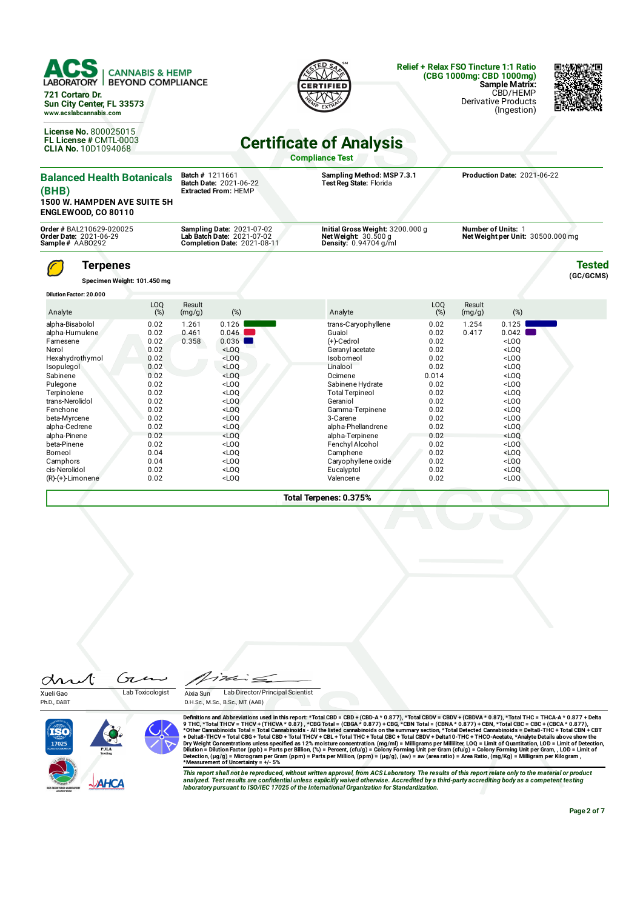| <b>LABORATORY</b><br>721 Cortaro Dr.<br>Sun City Center, FL 33573<br>www.acslabcannabis.com<br>License No. 800025015<br>FL License # CMTL-0003                 | <b>CANNABIS &amp; HEMP</b><br><b>BEYOND COMPLIANCE</b>                               |                         |                                                                                                                 | <b>Certificate of Analysis</b>                                                                                                                                                   |                                                                                       |                  | <b>Relief + Relax FSO Tincture 1:1 Ratio</b><br>(CBG 1000mg: CBD 1000mg)<br><b>Sample Matrix:</b><br>CBD/HEMP<br><b>Derivative Products</b><br>(Ingestion) |                            |
|----------------------------------------------------------------------------------------------------------------------------------------------------------------|--------------------------------------------------------------------------------------|-------------------------|-----------------------------------------------------------------------------------------------------------------|----------------------------------------------------------------------------------------------------------------------------------------------------------------------------------|---------------------------------------------------------------------------------------|------------------|------------------------------------------------------------------------------------------------------------------------------------------------------------|----------------------------|
| <b>CLIA No. 10D1094068</b>                                                                                                                                     |                                                                                      |                         |                                                                                                                 | <b>Compliance Test</b>                                                                                                                                                           |                                                                                       |                  |                                                                                                                                                            |                            |
| <b>Balanced Health Botanicals</b><br>(BHB)<br><b>1500 W. HAMPDEN AVE SUITE 5H</b><br><b>ENGLEWOOD, CO 80110</b>                                                |                                                                                      | <b>Batch # 1211661</b>  | Batch Date: 2021-06-22<br><b>Extracted From: HEMP</b>                                                           | Sampling Method: MSP 7.3.1<br>Test Reg State: Florida                                                                                                                            |                                                                                       |                  | Production Date: 2021-06-22                                                                                                                                |                            |
| Order # BAL210629-020025<br>Order Date: 2021-06-29<br>Sample# AAB0292                                                                                          |                                                                                      |                         | <b>Sampling Date: 2021-07-02</b><br>Lab Batch Date: 2021-07-02<br>Completion Date: 2021-08-11                   | Initial Gross Weight: 3200.000 g<br>Net Weight: $30.500g$<br>Density: 0.94704 g/ml                                                                                               |                                                                                       |                  | <b>Number of Units: 1</b><br>Net Weight per Unit: 30500.000 mg                                                                                             |                            |
| <b>Terpenes</b><br><b>Dilution Factor: 20.000</b>                                                                                                              | Specimen Weight: 101.450 mg                                                          |                         |                                                                                                                 |                                                                                                                                                                                  |                                                                                       |                  |                                                                                                                                                            | <b>Tested</b><br>(GC/GCMS) |
| Analyte                                                                                                                                                        | LOQ<br>(%)                                                                           | Result<br>(mg/g)        | (%)                                                                                                             | Analyte                                                                                                                                                                          | LOQ<br>(%)                                                                            | Result<br>(mg/g) | (%)                                                                                                                                                        |                            |
| alpha-Bisabolol<br>alpha-Humulene<br>Farnesene<br>Nerol<br>Hexahydrothymol<br>Isopulegol<br>Sabinene<br>Pulegone<br>Terpinolene<br>trans-Nerolidol<br>Fenchone | 0.02<br>0.02<br>0.02<br>0.02<br>0.02<br>0.02<br>0.02<br>0.02<br>0.02<br>0.02<br>0.02 | 1.261<br>0.461<br>0.358 | 0.126<br>0.046<br>0.036<br>$<$ LOQ<br>$<$ LOO<br>$<$ LOO<br>$<$ LOO<br>$<$ LOQ<br>$<$ LOQ<br>$<$ LOQ<br>$<$ LOO | trans-Caryophyllene<br>Guaiol<br>(+)-Cedrol<br>Geranyl acetate<br>Isoborneol<br>Linalool<br>Ocimene<br>Sabinene Hydrate<br><b>Total Terpineol</b><br>Geraniol<br>Gamma-Terpinene | 0.02<br>0.02<br>0.02<br>0.02<br>0.02<br>0.02<br>0.014<br>0.02<br>0.02<br>0.02<br>0.02 | 1.254<br>0.417   | 0.125<br>0.042<br>LOO<br>$<$ LOO<br>$<$ LOO<br>$<$ LOO<br>$<$ LOO<br>$<$ LOO<br>$<$ LOO<br>$<$ LOO<br>$<$ LOO                                              |                            |

**Total Terpenes: 0.375%**

beta-Myrcene 0.02 <LOQ 3-Carene 0.02 <LOQ alpha-Cedrene 0.02 <LOQ alpha-Phellandrene 0.02 <LOQ alpha-Pinene 0.02 <LOQ alpha-Terpinene 0.02 <LOQ beta-Pinene 0.02 <LOQ FenchylAlcohol 0.02 <LOQ Borneol 0.04 <LOQ Camphene 0.02 <LOQ Camphors 0.04 <LOQ Caryophyllene oxide 0.02 <LOQ cis-Nerolidol 0.02 <LOQ Eucalyptol 0.02 <LOQ (R)-(+)-Limonene 0.02 <LOQ Valencene 0.02 <LOQ



Xueli Gao Lab Toxicologist

Gie

Ph.D., DABT

drut

'i ve  $\leq$ Aixia Sun Lab Director/Principal Scientist

D.H.Sc., M.Sc., B.Sc., MT (AAB)

Definitions and Abbreviations used in this report: \*Total CBD = CBD-A (CBD-A \* 0.877), \*Total CBDV + CBDVA \* 0.87), \*Total THC = THCA-A \* 0.877<br>9 THC, \*Total THCV = THCA-A \* 0.877, \*CBG Total = (CBGA \* 0.877),\*Total CGBDV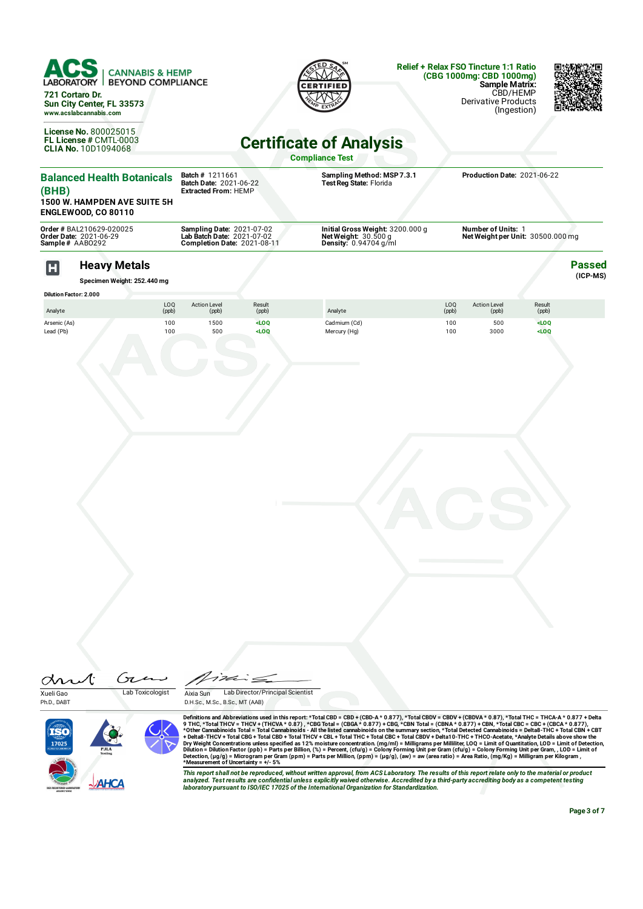|                           | ACS<br><b>CANNABIS &amp; HEMP</b><br><b>LABORATORY</b><br><b>BEYOND COMPLIANCE</b><br>721 Cortaro Dr.<br>Sun City Center, FL 33573<br>www.acslabcannabis.com<br>License No. 800025015<br>FL License # CMTL-0003<br><b>CLIA No. 10D1094068</b> |                          |                                                                                        |                    | <b>Certificate of Analysis</b><br><b>Compliance Test</b>                           | <b>Relief + Relax FSO Tincture 1:1 Ratio</b> | (CBG 1000mg: CBD 1000mg)<br><b>Sample Matrix:</b><br><b>Derivative Products</b> | CBD/HEMP<br>(Ingestion) |                           |
|---------------------------|-----------------------------------------------------------------------------------------------------------------------------------------------------------------------------------------------------------------------------------------------|--------------------------|----------------------------------------------------------------------------------------|--------------------|------------------------------------------------------------------------------------|----------------------------------------------|---------------------------------------------------------------------------------|-------------------------|---------------------------|
| (BHB)                     | <b>Balanced Health Botanicals</b><br><b>1500 W. HAMPDEN AVE SUITE 5H</b><br><b>ENGLEWOOD, CO 80110</b>                                                                                                                                        |                          | Batch # 1211661<br>Batch Date: 2021-06-22<br><b>Extracted From: HEMP</b>               |                    | Sampling Method: MSP 7.3.1<br>Test Reg State: Florida                              |                                              | Production Date: 2021-06-22                                                     |                         |                           |
|                           | Order # BAL210629-020025<br>Order Date: 2021-06-29<br>Sample# AAB0292                                                                                                                                                                         |                          | Sampling Date: 2021-07-02<br>Lab Batch Date: 2021-07-02<br>Completion Date: 2021-08-11 |                    | Initial Gross Weight: 3200.000 g<br>Net Weight: $30.500q$<br>Density: 0.94704 g/ml |                                              | Number of Units: 1<br>Net Weight per Unit: 30500.000 mg                         |                         |                           |
| H                         | <b>Heavy Metals</b><br>Specimen Weight: 252.440 mg<br><b>Dilution Factor: 2.000</b>                                                                                                                                                           |                          |                                                                                        |                    |                                                                                    |                                              |                                                                                 |                         | <b>Passed</b><br>(ICP-MS) |
| Analyte                   |                                                                                                                                                                                                                                               | LO <sub>0</sub><br>(ppb) | <b>Action Level</b><br>(ppb)                                                           | Result<br>(ppb)    | Analyte                                                                            | LO <sub>0</sub><br>(ppb)                     | <b>Action Level</b><br>(ppb)                                                    | Result<br>(ppb)         |                           |
| Arsenic (As)<br>Lead (Pb) |                                                                                                                                                                                                                                               | 100<br>100               | 1500<br>500                                                                            | $<$ LOQ<br>$<$ LOO | Cadmium (Cd)<br>Mercury (Hg)                                                       | 100<br>100                                   | 500<br>3000                                                                     | $<$ LOO<br>$<$ LOQ      |                           |
|                           |                                                                                                                                                                                                                                               |                          |                                                                                        |                    |                                                                                    |                                              |                                                                                 |                         |                           |

Gie drut Xueli Gao Lab Toxicologist

Ph.D., DABT





Definitions and Abbreviations used in this report: \*Total CBD = CBD-A (CBD-A \* 0.877), \*Total CBDV + CBDVA \* 0.87), \*Total THC = THCA-A \* 0.877<br>9 THC, \*Total THCV = THCA-A \* 0.877, \*CBG Total = (CBGA \* 0.877),\*Total CGBDV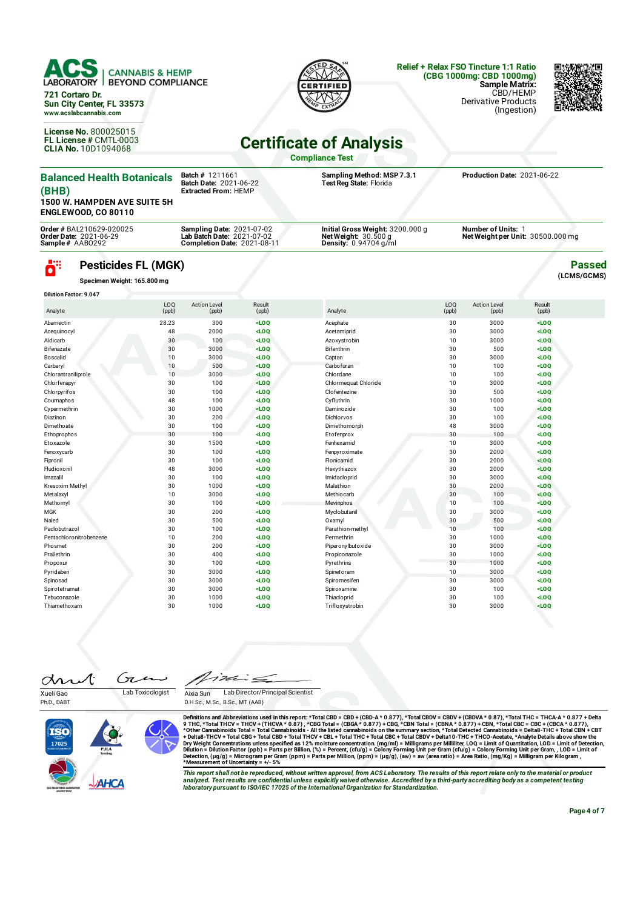

**721 Cortaro Dr. Sun City Center, FL 33573 www.acslabcannabis.com**

**License No.** 800025015 **FL License #** CMTL-0003 **CLIA No.** 10D1094068



### **Relief + Relax FSO Tincture 1:1 Ratio (CBG 1000mg: CBD 1000mg) Sample Matrix:** CBD/HEMP

Derivative Products (Ingestion)



**Passed (LCMS/GCMS)**

## **Certicate of Analysis**

**Compliance Test**

| <b>Balanced Health Botanicals</b><br>(BHB)<br><b>1500 W. HAMPDEN AVE SUITE 5H</b><br><b>ENGLEWOOD, CO 80110</b> | <b>Batch # 1211661</b><br><b>Batch Date: 2021-06-22</b><br><b>Extracted From: HEMP</b>               | Sampling Method: MSP 7.3.1<br>Test Reg State: Florida                                        | Production Date: 2021-06-22                                    |
|-----------------------------------------------------------------------------------------------------------------|------------------------------------------------------------------------------------------------------|----------------------------------------------------------------------------------------------|----------------------------------------------------------------|
| Order # BAL210629-020025<br><b>Order Date: 2021-06-29</b><br>Sample# AAB0292                                    | <b>Sampling Date: 2021-07-02</b><br>Lab Batch Date: 2021-07-02<br><b>Completion Date: 2021-08-11</b> | Initial Gross Weight: 3200.000 g<br>Net Weight: $30.500$ g<br><b>Density:</b> $0.94704$ g/ml | <b>Number of Units: 1</b><br>Net Weight per Unit: 30500.000 mg |

## **Pesticides FL (MGK)**

**Specimen Weight: 165.800 mg**

ä"

| <b>Dilution Factor: 9.047</b> |              |                              |                 |                      |              |                              |                 |  |
|-------------------------------|--------------|------------------------------|-----------------|----------------------|--------------|------------------------------|-----------------|--|
| Analyte                       | LOQ<br>(ppb) | <b>Action Level</b><br>(ppb) | Result<br>(ppb) | Analyte              | LOQ<br>(ppb) | <b>Action Level</b><br>(ppb) | Result<br>(ppb) |  |
| Abamectin                     | 28.23        | 300                          | LOO             | Acephate             | 30           | 3000                         | LOO             |  |
| Acequinocyl                   | 48           | 2000                         | $<$ LOQ         | Acetamiprid          | 30           | 3000                         | $<$ LOQ         |  |
| Aldicarb                      | 30           | 100                          | $<$ LOQ         | Azoxystrobin         | 10           | 3000                         | $<$ LOQ         |  |
| Bifenazate                    | 30           | 3000                         | LOO             | Bifenthrin           | 30           | 500                          | $<$ LOQ         |  |
| Boscalid                      | 10           | 3000                         | $<$ LOQ         | Captan               | 30           | 3000                         | $<$ LOQ         |  |
| Carbary                       | 10           | 500                          | $<$ LOQ         | Carbofuran           | 10           | 100                          | $<$ LOQ         |  |
| Chlorantraniliprole           | 10           | 3000                         | $<$ LOQ         | Chlordane            | 10           | 100                          | $<$ LOQ         |  |
| Chlorfenapyr                  | 30           | 100                          | $<$ LOQ         | Chlormequat Chloride | 10           | 3000                         | $<$ LOQ         |  |
| Chlorpyrifos                  | 30           | 100                          | LOO             | Clofentezine         | 30           | 500                          | $<$ LOQ         |  |
| Coumaphos                     | 48           | 100                          | $<$ LOQ         | Cyfluthrin           | 30           | 1000                         | $<$ LOQ         |  |
| Cypermethrin                  | 30           | 1000                         | LOO             | Daminozide           | 30           | 100                          | LOO             |  |
| Diazinon                      | 30           | 200                          | LOO             | Dichlorvos           | 30           | 100                          | LOO             |  |
| Dimethoate                    | 30           | 100                          | $<$ LOQ         | Dimethomorph         | 48           | 3000                         | $<$ LOQ         |  |
| Ethoprophos                   | 30           | 100                          | $<$ LOQ         | Etofenprox           | 30           | 100                          | $<$ LOQ         |  |
| Etoxazole                     | 30           | 1500                         | $<$ LOQ         | Fenhexamid           | 10           | 3000                         | $<$ LOQ         |  |
| Fenoxycarb                    | 30           | 100                          | $<$ LOQ         | Fenpyroximate        | 30           | 2000                         | $<$ LOQ         |  |
| Fipronil                      | 30           | 100                          | $<$ LOQ         | Flonicamid           | 30           | 2000                         | LOO             |  |
| Fludioxonil                   | 48           | 3000                         | $<$ LOQ         | Hexythiazox          | 30           | 2000                         | $<$ LOQ         |  |
| Imazalil                      | 30           | 100                          | $<$ LOQ         | Imidacloprid         | 30           | 3000                         | $<$ LOQ         |  |
| Kresoxim Methyl               | 30           | 1000                         | $<$ LOQ         | Malathion            | 30           | 2000                         | $<$ LOQ         |  |
| Metalaxyl                     | 10           | 3000                         | $<$ LOQ         | Methiocarb           | 30           | 100                          | $<$ LOQ         |  |
| Methomyl                      | 30           | 100                          | $<$ LOQ         | Mevinphos            | 10           | 100                          | LOO             |  |
| <b>MGK</b>                    | 30           | 200                          | $<$ LOQ         | Myclobutanil         | 30           | 3000                         | $<$ LOQ         |  |
| Naled                         | 30           | 500                          | $<$ LOQ         | Oxamyl               | 30           | 500                          | $<$ LOQ         |  |
| Paclobutrazol                 | 30           | 100                          | $<$ LOQ         | Parathion-methyl     | 10           | 100                          | $<$ LOQ         |  |
| Pentachloronitrobenzene       | 10           | 200                          | $<$ LOQ         | Permethrin           | 30           | 1000                         | $<$ LOO         |  |
| Phosmet                       | 30           | 200                          | $<$ LOQ         | Piperonylbutoxide    | 30           | 3000                         | LOO             |  |
| Prallethrin                   | 30           | 400                          | $<$ LOQ         | Propiconazole        | 30           | 1000                         | $<$ LOQ         |  |
| Propoxur                      | 30           | 100                          | $<$ LOQ         | Pyrethrins           | 30           | 1000                         | $<$ LOQ         |  |
| Pyridaben                     | 30           | 3000                         | $<$ LOQ         | Spinetoram           | 10           | 3000                         | $<$ LOQ         |  |
| Spinosad                      | 30           | 3000                         | $<$ LOQ         | Spiromesifen         | 30           | 3000                         | $<$ LOQ         |  |
| Spirotetramat                 | 30           | 3000                         | $<$ LOQ         | Spiroxamine          | 30           | 100                          | $<$ LOQ         |  |
| Tebuconazole                  | 30           | 1000                         | LOO             | Thiacloprid          | 30           | 100                          | $<$ LOQ         |  |
| Thiamethoxam                  | 30           | 1000                         | LOO             | Trifloxystrobin      | 30           | 3000                         | LOO             |  |

Gτ drut Xueli Gao Lab Toxicologist

Ph.D., DABT

T VE  $\leq$ Aixia Sun Lab Director/Principal Scientist

D.H.Sc., M.Sc., B.Sc., MT (AAB)



Definitions and Abbreviations used in this report: \*Total CBD = CBD-A (CBD-A \* 0.877), \*Total CBDV + CBDVA \* 0.87), \*Total THC = THCA-A \* 0.877<br>9 THC, \*Total THCV = THCA-A \* 0.877, \*CBG Total = (CBGA \* 0.877),\*Total CGBDV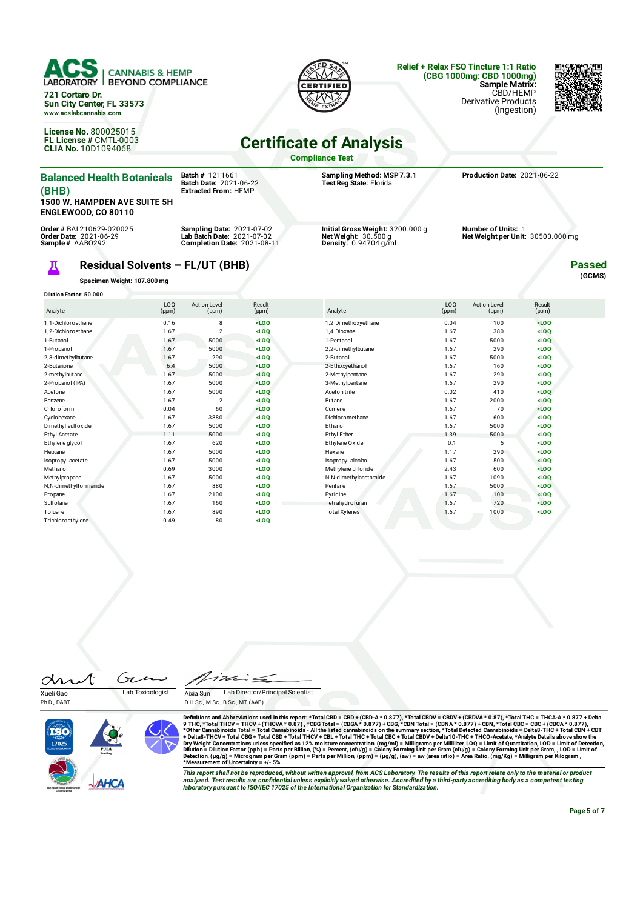

**License No.** 800025015 **FL License #** CMTL-0003 **CLIA No.** 10D1094068

### **Relief + Relax FSO Tincture 1:1 Ratio (CBG 1000mg: CBD 1000mg) Sample Matrix:** CBD/HEMP





# **Certificate of Analysis**

**Compliance Test**

| <b>Balanced Health Botanicals</b><br>(BHB)<br>1500 W. HAMPDEN AVE SUITE 5H<br><b>ENGLEWOOD, CO 80110</b> |                           | <b>Batch # 1211661</b><br><b>Batch Date: 2021-06-22</b><br><b>Extracted From: HEMP</b>        |                    | Sampling Method: MSP 7.3.1<br>Test Reg State: Florida                              |                          | Production Date: 2021-06-22                                    |                    |                         |
|----------------------------------------------------------------------------------------------------------|---------------------------|-----------------------------------------------------------------------------------------------|--------------------|------------------------------------------------------------------------------------|--------------------------|----------------------------------------------------------------|--------------------|-------------------------|
| <b>Order # BAL210629-020025</b><br><b>Order Date: 2021-06-29</b><br>Sample# AAB0292                      |                           | <b>Sampling Date: 2021-07-02</b><br>Lab Batch Date: 2021-07-02<br>Completion Date: 2021-08-11 |                    | Initial Gross Weight: 3200.000 g<br>Net Weight: $30.500q$<br>Density: 0.94704 g/ml |                          | <b>Number of Units: 1</b><br>Net Weight per Unit: 30500.000 mg |                    |                         |
| Residual Solvents - FL/UT (BHB)<br>Specimen Weight: 107.800 mg<br><b>Dilution Factor: 50.000</b>         |                           |                                                                                               |                    |                                                                                    |                          |                                                                |                    | <b>Passed</b><br>(GCMS) |
| Analyte                                                                                                  | L <sub>0</sub> 0<br>(ppm) | <b>Action Level</b><br>(ppm)                                                                  | Result<br>(ppm)    | Analyte                                                                            | LO <sub>0</sub><br>(ppm) | <b>Action Level</b><br>(ppm)                                   | Result<br>(ppm)    |                         |
| 1.1-Dichloroethene<br>1.2-Dichloroethane                                                                 | 0.16<br>1.67              | 8                                                                                             | $<$ LOQ<br>$<$ LOQ | 1,2 Dimethoxyethane<br>1.4 Dioxane                                                 | 0.04<br>1.67             | 100<br>380                                                     | $<$ LOQ<br>$<$ LOQ |                         |

| 1, PUGNOLUCTICLE      | <b>U.IU</b> | $\circ$        | שטא     | $1, 2$ DITTELIO AVELIATE | <b>0.04</b> | 100  | שטא     |  |
|-----------------------|-------------|----------------|---------|--------------------------|-------------|------|---------|--|
| 1,2-Dichloroethane    | 1.67        | $\overline{2}$ | LOO     | 1,4 Dioxane              | 1.67        | 380  | $<$ LOQ |  |
| 1-Butanol             | 1.67        | 5000           | $<$ LOQ | 1-Pentanol               | 1.67        | 5000 | LOO     |  |
| 1-Propanol            | 1.67        | 5000           | LOO     | 2,2-dimethylbutane       | 1.67        | 290  | $<$ LOQ |  |
| 2,3-dimethylbutane    | 1.67        | 290            | $<$ LOQ | 2-Butanol                | 1.67        | 5000 | $<$ LOQ |  |
| 2-Butanone            | 6.4         | 5000           | $<$ LOQ | 2-Ethoxyethanol          | 1.67        | 160  | $<$ LOQ |  |
| 2-methylbutane        | 1.67        | 5000           | $<$ LOQ | 2-Methylpentane          | 1.67        | 290  | $<$ LOQ |  |
| 2-Propanol (IPA)      | 1.67        | 5000           | $<$ LOQ | 3-Methylpentane          | 1.67        | 290  | $<$ LOQ |  |
| Acetone               | 1.67        | 5000           | $<$ LOQ | Acetonitrile             | 0.02        | 410  | $<$ LOQ |  |
| Benzene               | 1.67        | 2              | $<$ LOQ | Butane                   | 1.67        | 2000 | $<$ LOQ |  |
| Chloroform            | 0.04        | 60             | $<$ LOQ | Cumene                   | 1.67        | 70   | $<$ LOQ |  |
| Cyclohexane           | 1.67        | 3880           | $<$ LOQ | Dichloromethane          | 1.67        | 600  | $<$ LOQ |  |
| Dimethyl sulfoxide    | 1.67        | 5000           | $<$ LOQ | Ethanol                  | 1.67        | 5000 | $<$ LOQ |  |
| Ethyl Acetate         | 1.11        | 5000           | $<$ LOQ | Ethyl Ether              | 1.39        | 5000 | $<$ LOQ |  |
| Ethylene glycol       | 1.67        | 620            | $<$ LOQ | Ethylene Oxide           | 0.1         | 5    | $<$ LOQ |  |
| Heptane               | 1.67        | 5000           | $<$ LOQ | Hexane                   | 1.17        | 290  | $<$ LOQ |  |
| Isopropyl acetate     | 1.67        | 5000           | $<$ LOQ | Isopropyl alcohol        | 1.67        | 500  | LOO     |  |
| Methanol              | 0.69        | 3000           | $<$ LOQ | Methylene chloride       | 2.43        | 600  | LOO     |  |
| Methylpropane         | 1.67        | 5000           | $<$ LOQ | N,N-dimethylacetamide    | 1.67        | 1090 | $<$ LOQ |  |
| N,N-dimethylformanide | 1.67        | 880            | $<$ LOQ | Pentane                  | 1.67        | 5000 | $<$ LOQ |  |
| Propane               | 1.67        | 2100           | $<$ LOQ | Pyridine                 | 1.67        | 100  | $<$ LOQ |  |
| Sulfolane             | 1.67        | 160            | $<$ LOQ | Tetrahydrofuran          | 1.67        | 720  | $<$ LOQ |  |
| Toluene               | 1.67        | 890            | $<$ LOQ | <b>Total Xylenes</b>     | 1.67        | 1000 | $<$ LOQ |  |
| Trichloroethylene     | 0.49        | 80             | $<$ LOQ |                          |             |      |         |  |

Gı drut

Ph.D., DABT

Xueli Gao Lab Toxicologist

っぷ  $\leq$ Aixia Sun Lab Director/Principal Scientist D.H.Sc., M.Sc., B.Sc., MT (AAB)



Definitions and Abbreviations used in this report: \*Total CBD = CBD-A (CBD-A \* 0.877), \*Total CBDV + CBDVA \* 0.87), \*Total THC = THCA-A \* 0.877<br>9 THC, \*Total THCV = THCA-A \* 0.877, \*CBG Total = (CBGA \* 0.877),\*Total CGBDV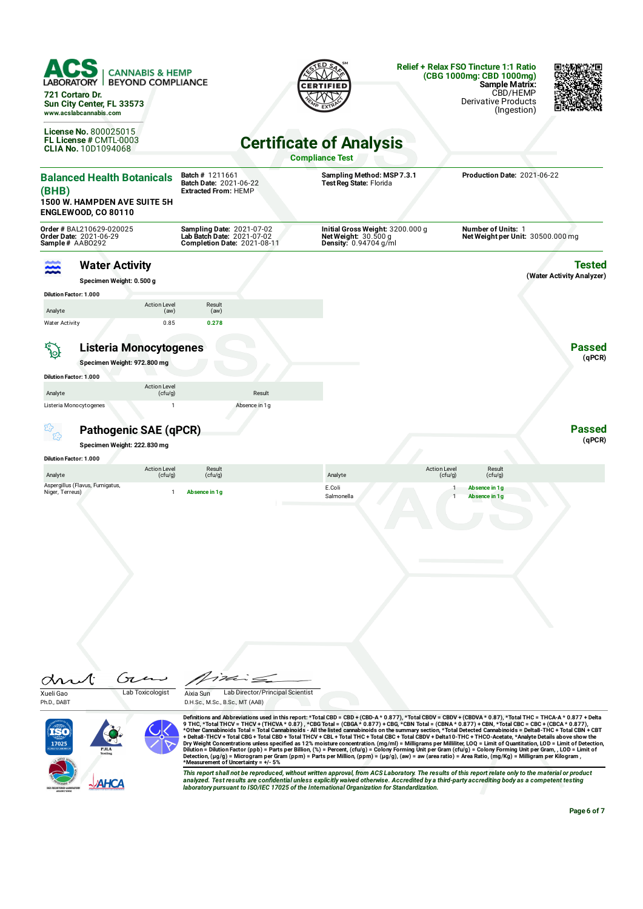| 721 Cortaro Dr.                                                                                              | <b>CANNABIS &amp; HEMP</b><br><b>BEYOND COMPLIANCE</b><br>Sun City Center, FL 33573<br>www.acslabcannabis.com  |                                                                                                      |                                                                                                                                                          | <b>Relief + Relax FSO Tincture 1:1 Ratio</b><br>(CBG 1000mg: CBD 1000mg)<br><b>Sample Matrix:</b><br>CBD/HEMP<br><b>Derivative Products</b><br>(Ingestion)                                                                                                                                                                                                                                                                                                                                                                                                                                                                                                                       |
|--------------------------------------------------------------------------------------------------------------|----------------------------------------------------------------------------------------------------------------|------------------------------------------------------------------------------------------------------|----------------------------------------------------------------------------------------------------------------------------------------------------------|----------------------------------------------------------------------------------------------------------------------------------------------------------------------------------------------------------------------------------------------------------------------------------------------------------------------------------------------------------------------------------------------------------------------------------------------------------------------------------------------------------------------------------------------------------------------------------------------------------------------------------------------------------------------------------|
|                                                                                                              | <b>License No. 800025015</b><br>FL License # CMTL-0003<br><b>CLIA No. 10D1094068</b>                           |                                                                                                      | <b>Certificate of Analysis</b><br><b>Compliance Test</b>                                                                                                 |                                                                                                                                                                                                                                                                                                                                                                                                                                                                                                                                                                                                                                                                                  |
| (BHB)                                                                                                        | <b>Balanced Health Botanicals</b><br><b>1500 W. HAMPDEN AVE SUITE 5H</b><br><b>ENGLEWOOD, CO 80110</b>         | <b>Batch # 1211661</b><br>Batch Date: 2021-06-22<br><b>Extracted From: HEMP</b>                      | Sampling Method: MSP 7.3.1<br>Test Reg State: Florida                                                                                                    | Production Date: 2021-06-22                                                                                                                                                                                                                                                                                                                                                                                                                                                                                                                                                                                                                                                      |
| Sample# AABO292                                                                                              | Order # BAL210629-020025<br>Order Date: 2021-06-29                                                             | <b>Sampling Date: 2021-07-02</b><br>Lab Batch Date: 2021-07-02<br><b>Completion Date: 2021-08-11</b> | Initial Gross Weight: 3200.000 g<br>Net Weight: $30.500 g$<br><b>Density: 0.94704 g/ml</b>                                                               | <b>Number of Units: 1</b><br>Net Weight per Unit: 30500.000 mg                                                                                                                                                                                                                                                                                                                                                                                                                                                                                                                                                                                                                   |
| <b>Dilution Factor: 1.000</b>                                                                                | <b>Water Activity</b><br>Specimen Weight: 0.500 g                                                              |                                                                                                      |                                                                                                                                                          | <b>Tested</b><br>(Water Activity Analyzer)                                                                                                                                                                                                                                                                                                                                                                                                                                                                                                                                                                                                                                       |
| Analyte<br><b>Water Activity</b>                                                                             | <b>Action Level</b><br>(aw)<br>0.85                                                                            | Result<br>(aw)<br>0.278                                                                              |                                                                                                                                                          |                                                                                                                                                                                                                                                                                                                                                                                                                                                                                                                                                                                                                                                                                  |
| $\overline{\mathcal{P}}_{\mathcal{Q}}$<br><b>Dilution Factor: 1.000</b><br>Analyte<br>Listeria Monocytogenes | <b>Listeria Monocytogenes</b><br>Specimen Weight: 972.800 mg<br><b>Action Level</b><br>(cfu/g)<br>$\mathbf{1}$ | Result<br>Absence in 1g                                                                              |                                                                                                                                                          | <b>Passed</b><br>(qPCR)                                                                                                                                                                                                                                                                                                                                                                                                                                                                                                                                                                                                                                                          |
|                                                                                                              | Pathogenic SAE (qPCR)<br>Specimen Weight: 222.830 mg                                                           |                                                                                                      |                                                                                                                                                          | <b>Passed</b><br>(qPCR)                                                                                                                                                                                                                                                                                                                                                                                                                                                                                                                                                                                                                                                          |
| <b>Dilution Factor: 1.000</b>                                                                                |                                                                                                                |                                                                                                      |                                                                                                                                                          |                                                                                                                                                                                                                                                                                                                                                                                                                                                                                                                                                                                                                                                                                  |
| Analyte<br>Niger, Terreus)                                                                                   | <b>Action Level</b><br>(cfu/g)<br>Aspergillus (Flavus, Fumigatus,<br>$\mathbf{1}$                              | Result<br>(cfu/g)<br>Absence in 1g                                                                   | <b>Action Level</b><br>Analyte<br>(cfu/g)<br>E.Coli<br>Salmonella                                                                                        | Result<br>(cfu/g)<br>Absence in 1g<br>$\overline{1}$<br>Absence in 1g                                                                                                                                                                                                                                                                                                                                                                                                                                                                                                                                                                                                            |
| Xueli Gao<br>Ph.D., DABT                                                                                     | Lab Toxicologist                                                                                               | Lab Director/Principal Scientist<br>Aixia Sun<br>D.H.Sc., M.Sc., B.Sc., MT (AAB)                     | 9 THC, *Total THCV = THCV + (THCVA * 0.87), *CBG Total = (CBGA * 0.877) + CBG, *CBN Total = (CBNA * 0.877) + CBN, *Total CBC = CBC + (CBCA * 0.877),     | Definitions and Abbreviations used in this report: *Total CBD = CBD + (CBD-A * 0.877), *Total CBDV = CBDV + (CBDVA * 0.87), *Total THC = THCA-A * 0.877 + Delta                                                                                                                                                                                                                                                                                                                                                                                                                                                                                                                  |
| 17025                                                                                                        |                                                                                                                | *Measurement of Uncertainty = $+/-5\%$                                                               | Detection, (µg/g) = Microgram per Gram (ppm) = Parts per Million, (ppm) = (µg/g), (aw) = aw (area ratio) = Area Ratio, (mg/Kg) = Milligram per Kilogram, | *Other Cannabinoids Total = Total Cannabinoids - All the listed cannabinoids on the summary section, *Total Detected Cannabinoids = Delta8-THC + Total CBN + CBT<br>+ Delta8-THCV + Total CBG + Total CBD + Total THCV + CBL + Total THC + Total CBC + Total CBDV + Delta10-THC + THCO-Acetate, *Analyte Details above show the<br>Dry Weight Concentrations unless specified as 12% moisture concentration. (mg/ml) = Milligrams per Milliliter, LOQ = Limit of Quantitation, LOD = Limit of Detection,<br>Dilution = Dilution Factor (ppb) = Parts per Billion, (%) = Percent, (cfu/g) = Colony Forming Unit per Gram (cfu/g) = Colony Forming Unit per Gram, , LOD = Limit of |

This report shall not be reproduced, without written approval, from ACS Laboratory. The results of this report relate only to the material or product<br>analyzed. Test results are confidential unless explicitly waived otherwi

AHCA